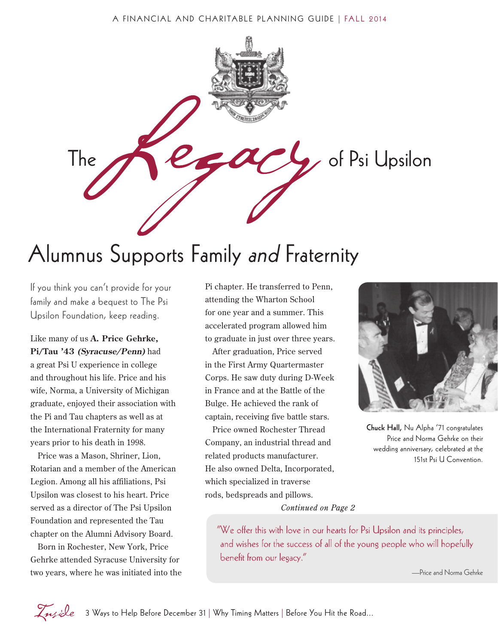

### Alumnus Supports Family and Fraternity

If you think you can't provide for your family and make a bequest to The Psi Upsilon Foundation, keep reading.

Like many of us **A. Price Gehrke, Pi/Tau '43 (Syracuse/Penn)** had a great Psi U experience in college and throughout his life. Price and his wife, Norma, a University of Michigan graduate, enjoyed their association with the Pi and Tau chapters as well as at the International Fraternity for many years prior to his death in 1998.

Price was a Mason, Shriner, Lion, Rotarian and a member of the American Legion. Among all his affiliations, Psi Upsilon was closest to his heart. Price served as a director of The Psi Upsilon Foundation and represented the Tau chapter on the Alumni Advisory Board.

Born in Rochester, New York, Price Gehrke attended Syracuse University for two years, where he was initiated into the

Pi chapter. He transferred to Penn, attending the Wharton School for one year and a summer. This accelerated program allowed him to graduate in just over three years.

After graduation, Price served in the First Army Quartermaster Corps. He saw duty during D-Week in France and at the Battle of the Bulge. He achieved the rank of captain, receiving five battle stars.

Price owned Rochester Thread Company, an industrial thread and related products manufacturer. He also owned Delta, Incorporated, which specialized in traverse rods, bedspreads and pillows. *Continued on Page 2*



Chuck Hall, Nu Alpha '71 congratulates Price and Norma Gehrke on their wedding anniversary, celebrated at the 151st Psi U Convention.

"We offer this with love in our hearts for Psi Upsilon and its principles, and wishes for the success of all of the young people who will hopefully benefit from our legacy."

—Price and Norma Gehrke

Insi∂e 3 Ways to Help Before December 31 | Why Timing Matters | Before You Hit the Road...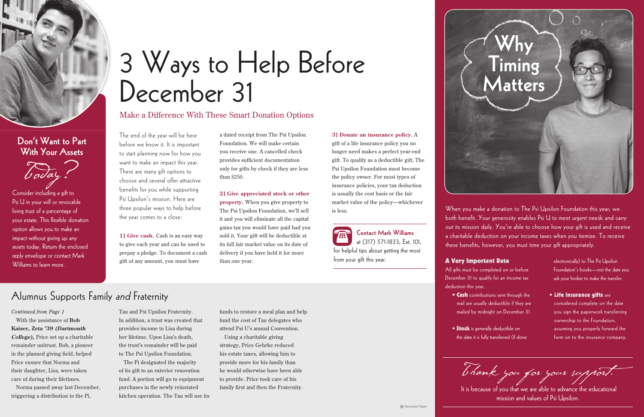With the assistance of **Bob Kaiser, Zeta '39 (Dartmouth College),** Price set up a charitable remainder unitrust. Bob, a pioneer in the planned giving field, helped Price ensure that Norma and their daughter, Lisa, were taken care of during their lifetimes.

Norma passed away last December, triggering a distribution to the Pi,

Tau and Psi Upsilon Fraternity. In addition, a trust was created that provides income to Lisa during her lifetime. Upon Lisa's death, the trust's remainder will be paid to The Psi Upsilon Foundation.

The Pi designated the majority of its gift to an exterior renovation fund. A portion will go to equipment purchases in the newly reinstated kitchen operation. The Tau will use its funds to restore a meal plan and help fund the cost of Tau delegates who attend Psi U's annual Convention.

Using a charitable giving strategy, Price Gehrke reduced his estate taxes, allowing him to provide more for his family than he would otherwise have been able to provide. Price took care of his family first and then the Fraternity.

#### *Continued from Page 1*

The end of the year will be here before we know it. It is important to start planning now for how you want to make an impact this year. There are many gift options to choose and several offer attractive benefits for you while supporting Psi Upsilon's mission. Here are three popular ways to help before the year comes to a close:

**1] Give cash.** Cash is an easy way to give each year and can be used to prepay a pledge. To document a cash gift of any amount, you must have

a dated receipt from The Psi Upsilon Foundation. We will make certain you receive one. A cancelled check provides sufficient documentation only for gifts by check if they are less than \$250.

- 
- **Stock** is generally deductible on the date it is fully transferred (if done

**2] Give appreciated stock or other property.** When you give property to The Psi Upsilon Foundation, we'll sell it and you will eliminate all the capital gains tax you would have paid had you sold it. Your gift will be deductible at its full fair market value on its date of delivery if you have held it for more than one year.

### Alumnus Supports Family and Fraternity

**• Life insurance gifts are** considered complete on the date you sign the paperwork transferring ownership to the Foundation, assuming you properly forward the form on to the insurance company. • • •

Thank you for your support.



### Don't Want to Part With Your Assets



Consider including a gift to Psi U in your will or revocable living trust of a percentage of your estate. This flexible donation option allows you to make an impact without giving up any assets today. Return the enclosed reply envelope or contact Mark Williams to learn more.

# 3 Ways to Help Before December 31

Make a Difference With These Smart Donation Options

When you make a donation to The Psi Upsilon Foundation this year, we both benefit. Your generosity enables Psi U to meet urgent needs and carry out its mission daily. You're able to choose how your gift is used and receive a charitable deduction on your income taxes when you itemize. To receive these benefits, however, you must time your gift appropriately.

# Why **Timing** Matters

**3] Donate an insurance policy.** A gift of a life insurance policy you no longer need makes a perfect year-end gift. To qualify as a deductible gift, The Psi Upsilon Foundation must become the policy owner. For most types of insurance policies, your tax deduction is usually the cost basis or the fair market value of the policy—whichever is less.



 It is because of you that we are able to advance the educational mission and values of Psi Upsilon.

#### A Very Important Date

deduction this year.

- All gifts must be completed on or before December 31 to qualify for an income tax
	- **Cash** contributions sent through the mail are usually deductible if they are mailed by midnight on December 31.

electronically) to The Psi Upsilon Foundation's books—not the date you ask your broker to make the transfer.

Contact Mark Williams at (317) 571-1833, Ext. 101,

for helpful tips about getting the most from your gift this year.